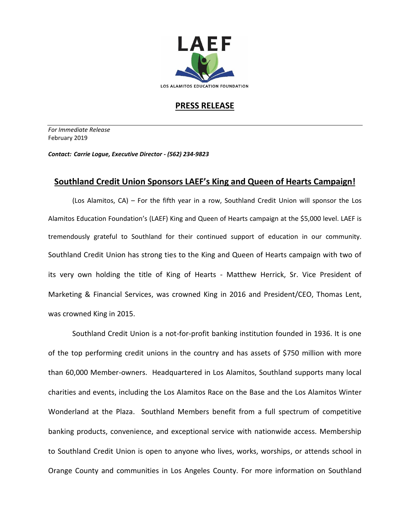

## **PRESS RELEASE**

*For Immediate Release*  February 2019

*Contact: Carrie Logue, Executive Director - (562) 234-9823*

## **Southland Credit Union Sponsors LAEF's King and Queen of Hearts Campaign!**

(Los Alamitos, CA) – For the fifth year in a row, Southland Credit Union will sponsor the Los Alamitos Education Foundation's (LAEF) King and Queen of Hearts campaign at the \$5,000 level. LAEF is tremendously grateful to Southland for their continued support of education in our community. Southland Credit Union has strong ties to the King and Queen of Hearts campaign with two of its very own holding the title of King of Hearts - Matthew Herrick, Sr. Vice President of Marketing & Financial Services, was crowned King in 2016 and President/CEO, Thomas Lent, was crowned King in 2015.

Southland Credit Union is a not-for-profit banking institution founded in 1936. It is one of the top performing credit unions in the country and has assets of \$750 million with more than 60,000 Member-owners. Headquartered in Los Alamitos, Southland supports many local charities and events, including the Los Alamitos Race on the Base and the Los Alamitos Winter Wonderland at the Plaza. Southland Members benefit from a full spectrum of competitive banking products, convenience, and exceptional service with nationwide access. Membership to Southland Credit Union is open to anyone who lives, works, worships, or attends school in Orange County and communities in Los Angeles County. For more information on Southland